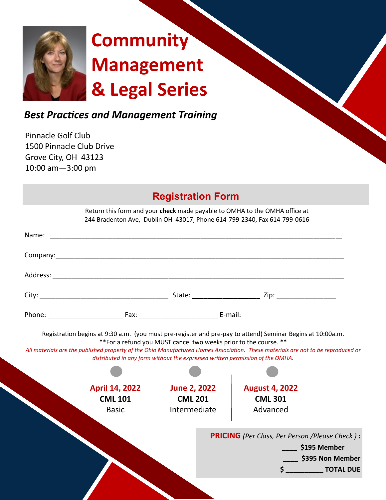

# **Community Management & Legal Series**

## *Best Practices and Management Training*

Pinnacle Golf Club 1500 Pinnacle Club Drive Grove City, OH 43123 10:00 am—3:00 pm

|                                                                                                                                                                                                                                                                                                                     | <b>Registration Form</b> |               |                                                                                                                                                        |                  |  |
|---------------------------------------------------------------------------------------------------------------------------------------------------------------------------------------------------------------------------------------------------------------------------------------------------------------------|--------------------------|---------------|--------------------------------------------------------------------------------------------------------------------------------------------------------|------------------|--|
|                                                                                                                                                                                                                                                                                                                     |                          |               | Return this form and your check made payable to OMHA to the OMHA office at<br>244 Bradenton Ave, Dublin OH 43017, Phone 614-799-2340, Fax 614-799-0616 |                  |  |
|                                                                                                                                                                                                                                                                                                                     |                          |               |                                                                                                                                                        |                  |  |
|                                                                                                                                                                                                                                                                                                                     |                          |               |                                                                                                                                                        |                  |  |
|                                                                                                                                                                                                                                                                                                                     |                          |               |                                                                                                                                                        |                  |  |
|                                                                                                                                                                                                                                                                                                                     |                          |               |                                                                                                                                                        |                  |  |
|                                                                                                                                                                                                                                                                                                                     |                          |               |                                                                                                                                                        |                  |  |
| Registration begins at 9:30 a.m. (you must pre-register and pre-pay to attend) Seminar Begins at 10:00a.m.<br>** For a refund you MUST cancel two weeks prior to the course. **<br>All materials are the published property of the Ohio Manufactured Homes Association. These materials are not to be reproduced or |                          |               |                                                                                                                                                        |                  |  |
| distributed in any form without the expressed written permission of the OMHA.                                                                                                                                                                                                                                       |                          |               |                                                                                                                                                        |                  |  |
|                                                                                                                                                                                                                                                                                                                     |                          |               |                                                                                                                                                        |                  |  |
| <b>April 14, 2022</b>                                                                                                                                                                                                                                                                                               | <b>June 2, 2022</b>      |               | <b>August 4, 2022</b>                                                                                                                                  |                  |  |
| <b>CML 101</b>                                                                                                                                                                                                                                                                                                      | <b>CML 201</b>           |               | <b>CML 301</b>                                                                                                                                         |                  |  |
| <b>Basic</b>                                                                                                                                                                                                                                                                                                        | Intermediate             |               | Advanced                                                                                                                                               |                  |  |
| <b>PRICING</b> (Per Class, Per Person /Please Check):                                                                                                                                                                                                                                                               |                          |               |                                                                                                                                                        |                  |  |
|                                                                                                                                                                                                                                                                                                                     |                          | $$195$ Member |                                                                                                                                                        |                  |  |
|                                                                                                                                                                                                                                                                                                                     |                          |               |                                                                                                                                                        | \$395 Non Member |  |
|                                                                                                                                                                                                                                                                                                                     |                          |               |                                                                                                                                                        | \$ FOTAL DUE     |  |
|                                                                                                                                                                                                                                                                                                                     |                          |               |                                                                                                                                                        |                  |  |